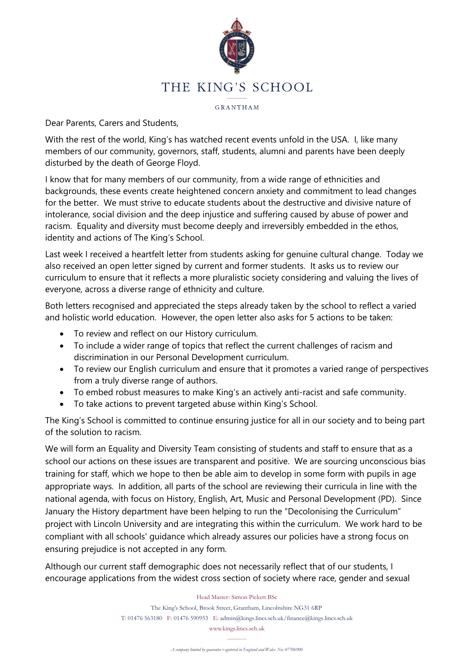

GRANTHAM

Dear Parents, Carers and Students,

With the rest of the world, King's has watched recent events unfold in the USA. I, like many members of our community, governors, staff, students, alumni and parents have been deeply disturbed by the death of George Floyd.

I know that for many members of our community, from a wide range of ethnicities and backgrounds, these events create heightened concern anxiety and commitment to lead changes for the better. We must strive to educate students about the destructive and divisive nature of intolerance, social division and the deep injustice and suffering caused by abuse of power and racism. Equality and diversity must become deeply and irreversibly embedded in the ethos, identity and actions of The King's School.

Last week I received a heartfelt letter from students asking for genuine cultural change. Today we also received an open letter signed by current and former students. It asks us to review our curriculum to ensure that it reflects a more pluralistic society considering and valuing the lives of everyone, across a diverse range of ethnicity and culture.

Both letters recognised and appreciated the steps already taken by the school to reflect a varied and holistic world education. However, the open letter also asks for 5 actions to be taken:

- To review and reflect on our History curriculum.
- To include a wider range of topics that reflect the current challenges of racism and discrimination in our Personal Development curriculum.
- To review our English curriculum and ensure that it promotes a varied range of perspectives from a truly diverse range of authors.
- To embed robust measures to make King's an actively anti-racist and safe community.
- To take actions to prevent targeted abuse within King's School.

The King's School is committed to continue ensuring justice for all in our society and to being part of the solution to racism.

We will form an Equality and Diversity Team consisting of students and staff to ensure that as a school our actions on these issues are transparent and positive. We are sourcing unconscious bias training for staff, which we hope to then be able aim to develop in some form with pupils in age appropriate ways. In addition, all parts of the school are reviewing their curricula in line with the national agenda, with focus on History, English, Art, Music and Personal Development (PD). Since January the History department have been helping to run the "Decolonising the Curriculum" project with Lincoln University and are integrating this within the curriculum. We work hard to be compliant with all schools' guidance which already assures our policies have a strong focus on ensuring prejudice is not accepted in any form.

Although our current staff demographic does not necessarily reflect that of our students, I encourage applications from the widest cross section of society where race, gender and sexual

## Head Master: Simon Pickett BSc

The King's School, Brook Street, Grantham, Lincolnshire NG31 6RP T: 01476 563180 F: 01476 590953 E: admin@kings.lincs.sch.uk/finance@kings.lincs.sch.uk

www.kings.lincs.sch.uk